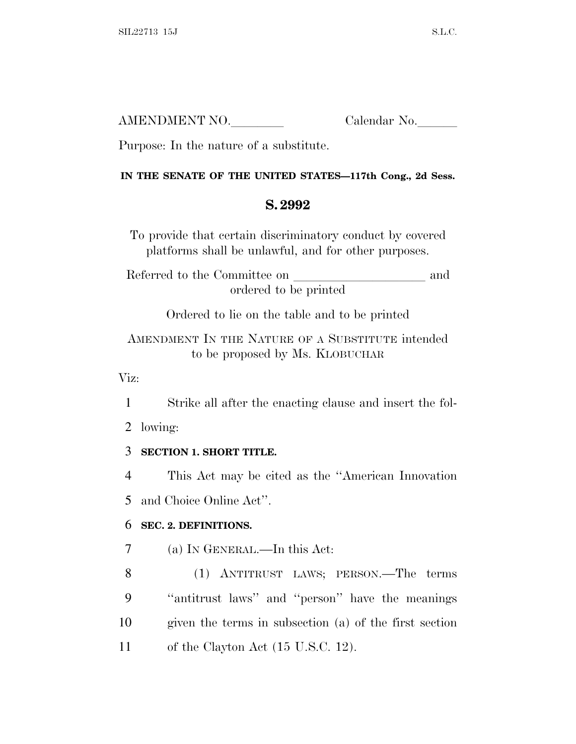| AMENDMENT NO. | Calendar No. |
|---------------|--------------|
|               |              |

Purpose: In the nature of a substitute.

#### **IN THE SENATE OF THE UNITED STATES—117th Cong., 2d Sess.**

# **S. 2992**

To provide that certain discriminatory conduct by covered platforms shall be unlawful, and for other purposes.

Referred to the Committee on and ordered to be printed

Ordered to lie on the table and to be printed

AMENDMENT IN THE NATURE OF A SUBSTITUTE intended to be proposed by Ms. KLOBUCHAR

Viz:

1 Strike all after the enacting clause and insert the fol-

2 lowing:

# 3 **SECTION 1. SHORT TITLE.**

4 This Act may be cited as the ''American Innovation 5 and Choice Online Act''.

# 6 **SEC. 2. DEFINITIONS.**

7 (a) I<sup>N</sup> GENERAL.—In this Act:

 (1) ANTITRUST LAWS; PERSON.—The terms ''antitrust laws'' and ''person'' have the meanings given the terms in subsection (a) of the first section 11 of the Clayton Act (15 U.S.C. 12).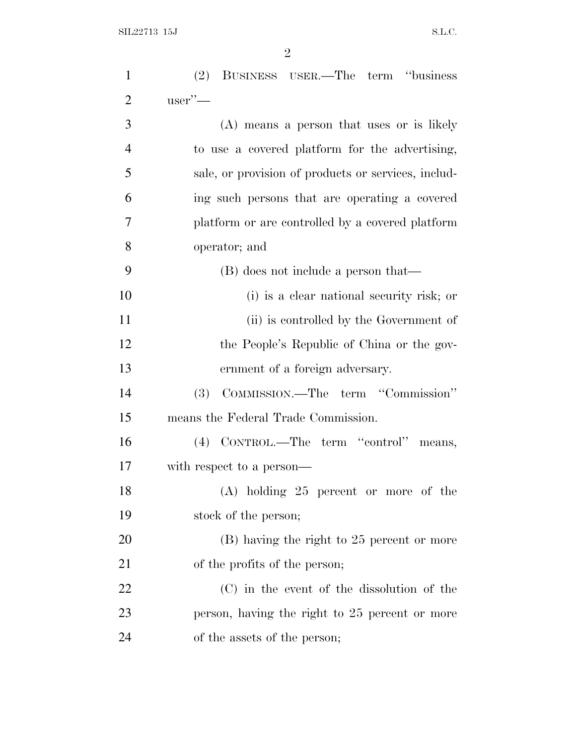| $\mathbf{1}$   | (2) BUSINESS USER.—The term "business               |
|----------------|-----------------------------------------------------|
| $\overline{2}$ | $user'$ —                                           |
| 3              | (A) means a person that uses or is likely           |
| $\overline{4}$ | to use a covered platform for the advertising,      |
| 5              | sale, or provision of products or services, includ- |
| 6              | ing such persons that are operating a covered       |
| 7              | platform or are controlled by a covered platform    |
| 8              | operator; and                                       |
| 9              | (B) does not include a person that—                 |
| 10             | (i) is a clear national security risk; or           |
| 11             | (ii) is controlled by the Government of             |
| 12             | the People's Republic of China or the gov-          |
| 13             | ernment of a foreign adversary.                     |
| 14             | COMMISSION.—The term "Commission"<br><b>(3)</b>     |
| 15             | means the Federal Trade Commission.                 |
| 16             | (4) CONTROL.—The term "control" means,              |
| 17             | with respect to a person—                           |
| 18             | (A) holding 25 percent or more of the               |
| 19             | stock of the person;                                |
| 20             | (B) having the right to 25 percent or more          |
| 21             | of the profits of the person;                       |
| 22             | (C) in the event of the dissolution of the          |
| 23             | person, having the right to 25 percent or more      |
| 24             | of the assets of the person;                        |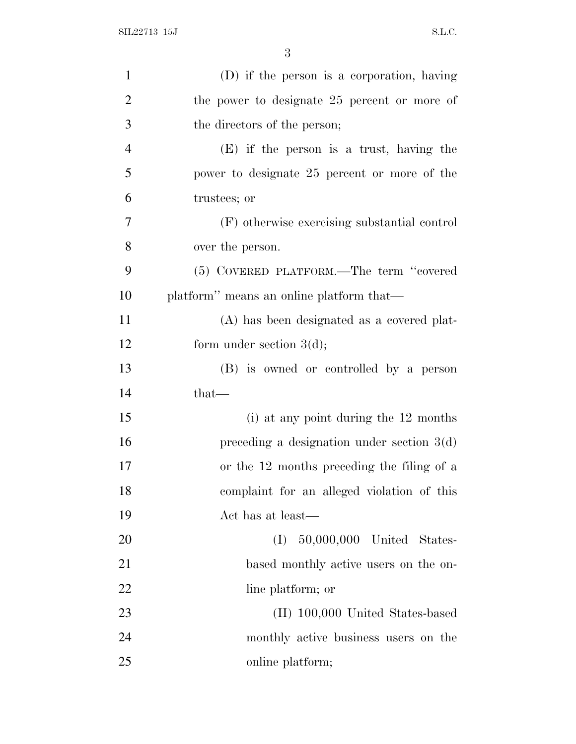| $\mathbf{1}$   | (D) if the person is a corporation, having   |
|----------------|----------------------------------------------|
| $\overline{2}$ | the power to designate 25 percent or more of |
| 3              | the directors of the person;                 |
| $\overline{4}$ | $(E)$ if the person is a trust, having the   |
| 5              | power to designate 25 percent or more of the |
| 6              | trustees; or                                 |
| 7              | (F) otherwise exercising substantial control |
| 8              | over the person.                             |
| 9              | (5) COVERED PLATFORM.—The term "covered      |
| 10             | platform" means an online platform that—     |
| 11             | (A) has been designated as a covered plat-   |
| 12             | form under section $3(d)$ ;                  |
| 13             | (B) is owned or controlled by a person       |
| 14             | that-                                        |
| 15             | (i) at any point during the 12 months        |
| 16             | preceding a designation under section $3(d)$ |
| 17             | or the 12 months preceding the filing of a   |
| 18             | complaint for an alleged violation of this   |
| 19             | Act has at least—                            |
| 20             | 50,000,000 United States-<br>(I)             |
| 21             | based monthly active users on the on-        |
| 22             | line platform; or                            |
| 23             | (II) 100,000 United States-based             |
| 24             | monthly active business users on the         |
| 25             | online platform;                             |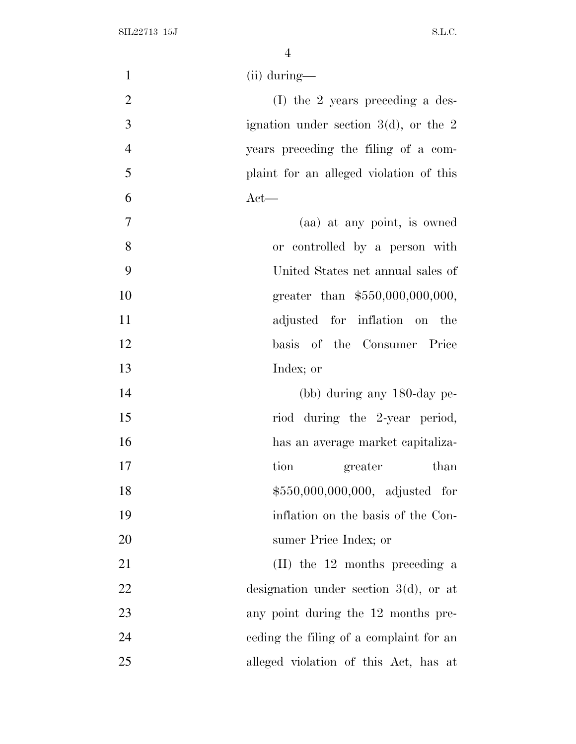| $\mathbf{1}$   | $(ii)$ during—                           |
|----------------|------------------------------------------|
| $\overline{2}$ | $(I)$ the 2 years preceding a des-       |
| 3              | ignation under section $3(d)$ , or the 2 |
| $\overline{4}$ | years preceding the filing of a com-     |
| 5              | plaint for an alleged violation of this  |
| 6              | $Act$ —                                  |
| $\overline{7}$ | (aa) at any point, is owned              |
| 8              | or controlled by a person with           |
| 9              | United States net annual sales of        |
| 10             | greater than \$550,000,000,000,          |
| 11             | adjusted for inflation on the            |
| 12             | basis of the Consumer Price              |
| 13             | Index; or                                |
| 14             | (bb) during any 180-day pe-              |
| 15             | riod during the 2-year period,           |
| 16             | has an average market capitaliza-        |
| 17             | tion<br>greater<br>than                  |
| 18             | \$550,000,000,000, adjusted for          |
| 19             | inflation on the basis of the Con-       |
| 20             | sumer Price Index; or                    |
| 21             | (II) the 12 months preceding a           |
| 22             | designation under section $3(d)$ , or at |
| 23             | any point during the 12 months pre-      |
| 24             | ceding the filing of a complaint for an  |
| 25             | alleged violation of this Act, has at    |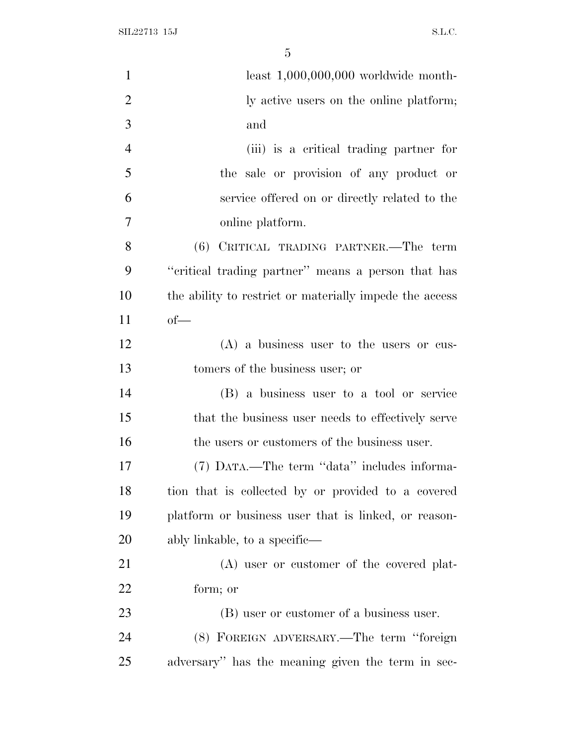| $\mathbf{1}$   | least $1,000,000,000$ worldwide month-                  |
|----------------|---------------------------------------------------------|
| $\overline{2}$ | ly active users on the online platform;                 |
| 3              | and                                                     |
| $\overline{4}$ | (iii) is a critical trading partner for                 |
| 5              | the sale or provision of any product or                 |
| 6              | service offered on or directly related to the           |
| 7              | online platform.                                        |
| 8              | (6) CRITICAL TRADING PARTNER.—The term                  |
| 9              | "critical trading partner" means a person that has      |
| 10             | the ability to restrict or materially impede the access |
| 11             | $of$ —                                                  |
| 12             | $(A)$ a business user to the users or cus-              |
| 13             | tomers of the business user; or                         |
| 14             | (B) a business user to a tool or service                |
| 15             | that the business user needs to effectively serve       |
| 16             | the users or customers of the business user.            |
| 17             | (7) DATA.—The term "data" includes informa-             |
| 18             | tion that is collected by or provided to a covered      |
| 19             | platform or business user that is linked, or reason-    |
| 20             | ably linkable, to a specific—                           |
| 21             | (A) user or customer of the covered plat-               |
| 22             | form; or                                                |
| 23             | (B) user or customer of a business user.                |
| 24             | (8) FOREIGN ADVERSARY.—The term "foreign                |
| 25             | adversary" has the meaning given the term in sec-       |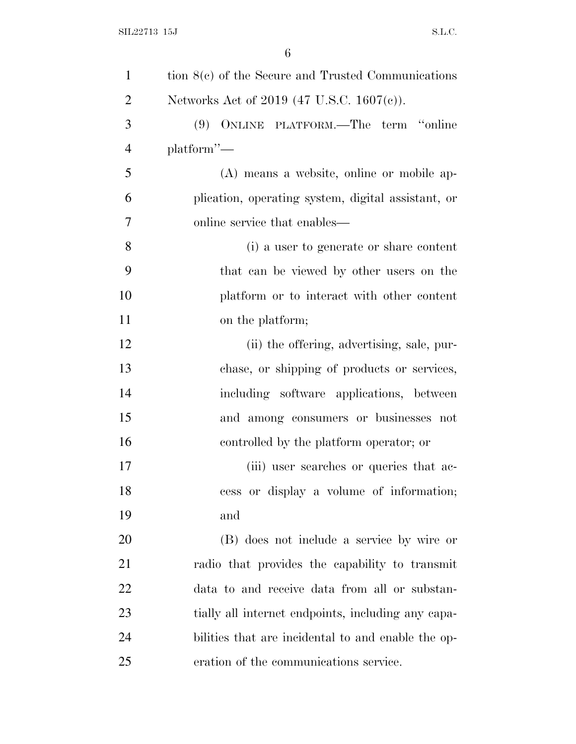| $\mathbf{1}$   | tion $8(c)$ of the Secure and Trusted Communications |
|----------------|------------------------------------------------------|
| $\overline{2}$ | Networks Act of 2019 (47 U.S.C. 1607(c)).            |
| 3              | (9) ONLINE PLATFORM.—The term "online                |
| $\overline{4}$ | $platform'$ —                                        |
| 5              | (A) means a website, online or mobile ap-            |
| 6              | plication, operating system, digital assistant, or   |
| 7              | online service that enables—                         |
| 8              | (i) a user to generate or share content              |
| 9              | that can be viewed by other users on the             |
| 10             | platform or to interact with other content           |
| 11             | on the platform;                                     |
| 12             | (ii) the offering, advertising, sale, pur-           |
| 13             | chase, or shipping of products or services,          |
| 14             | including software applications, between             |
| 15             | and among consumers or businesses not                |
| 16             | controlled by the platform operator; or              |
| 17             | (iii) user searches or queries that ac-              |
| 18             | cess or display a volume of information;             |
| 19             | and                                                  |
| 20             | (B) does not include a service by wire or            |
| 21             | radio that provides the capability to transmit       |
| 22             | data to and receive data from all or substan-        |
| 23             | tially all internet endpoints, including any capa-   |
| 24             | bilities that are incidental to and enable the op-   |
| 25             | eration of the communications service.               |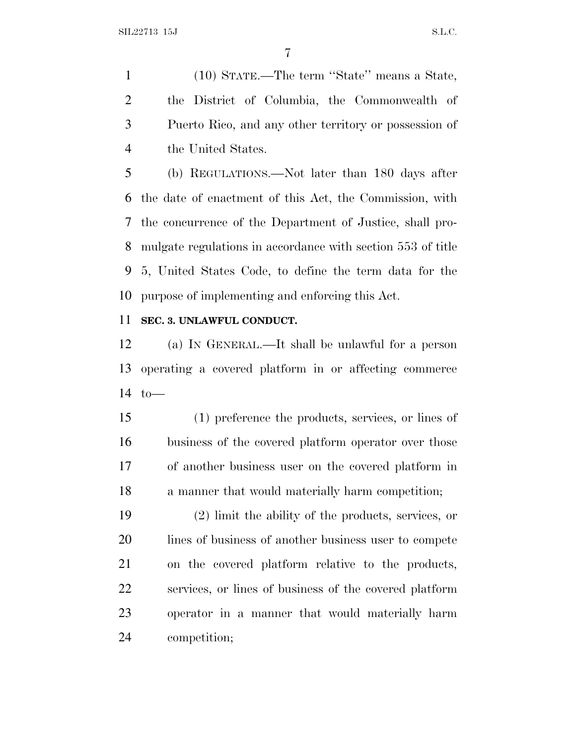(10) STATE.—The term ''State'' means a State, the District of Columbia, the Commonwealth of Puerto Rico, and any other territory or possession of the United States.

 (b) REGULATIONS.—Not later than 180 days after the date of enactment of this Act, the Commission, with the concurrence of the Department of Justice, shall pro- mulgate regulations in accordance with section 553 of title 5, United States Code, to define the term data for the purpose of implementing and enforcing this Act.

### **SEC. 3. UNLAWFUL CONDUCT.**

 (a) I<sup>N</sup> GENERAL.—It shall be unlawful for a person operating a covered platform in or affecting commerce to—

 (1) preference the products, services, or lines of business of the covered platform operator over those of another business user on the covered platform in a manner that would materially harm competition;

 (2) limit the ability of the products, services, or 20 lines of business of another business user to compete on the covered platform relative to the products, services, or lines of business of the covered platform operator in a manner that would materially harm competition;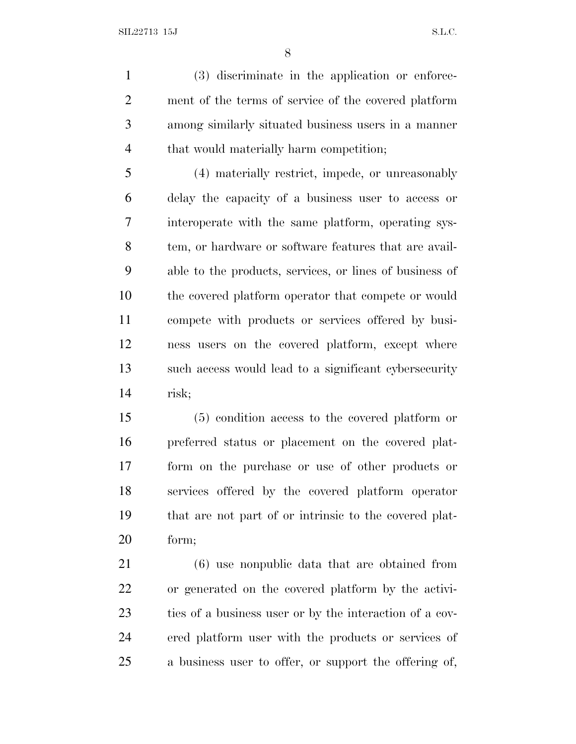(3) discriminate in the application or enforce- ment of the terms of service of the covered platform among similarly situated business users in a manner that would materially harm competition;

 (4) materially restrict, impede, or unreasonably delay the capacity of a business user to access or interoperate with the same platform, operating sys- tem, or hardware or software features that are avail- able to the products, services, or lines of business of the covered platform operator that compete or would compete with products or services offered by busi- ness users on the covered platform, except where such access would lead to a significant cybersecurity risk;

 (5) condition access to the covered platform or preferred status or placement on the covered plat- form on the purchase or use of other products or services offered by the covered platform operator that are not part of or intrinsic to the covered plat-form;

 (6) use nonpublic data that are obtained from or generated on the covered platform by the activi- ties of a business user or by the interaction of a cov- ered platform user with the products or services of a business user to offer, or support the offering of,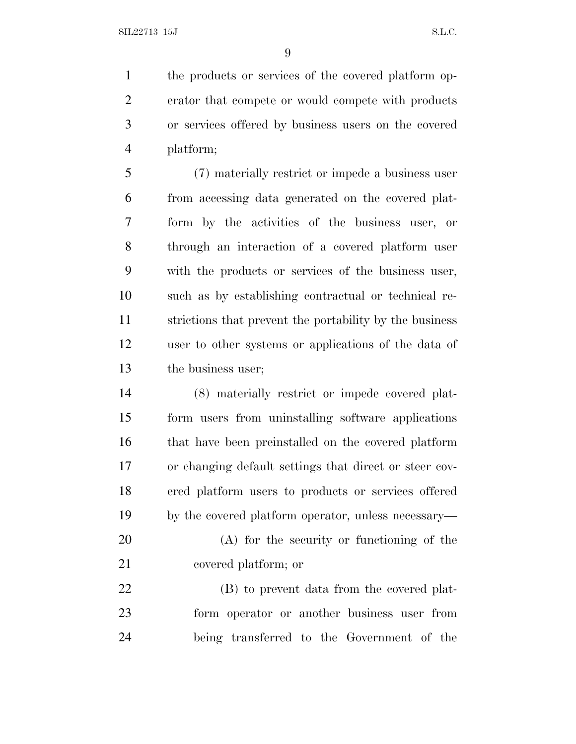the products or services of the covered platform op- erator that compete or would compete with products or services offered by business users on the covered platform;

 (7) materially restrict or impede a business user from accessing data generated on the covered plat- form by the activities of the business user, or through an interaction of a covered platform user with the products or services of the business user, such as by establishing contractual or technical re- strictions that prevent the portability by the business user to other systems or applications of the data of the business user;

 (8) materially restrict or impede covered plat- form users from uninstalling software applications that have been preinstalled on the covered platform or changing default settings that direct or steer cov- ered platform users to products or services offered by the covered platform operator, unless necessary—

 (A) for the security or functioning of the covered platform; or

 (B) to prevent data from the covered plat- form operator or another business user from being transferred to the Government of the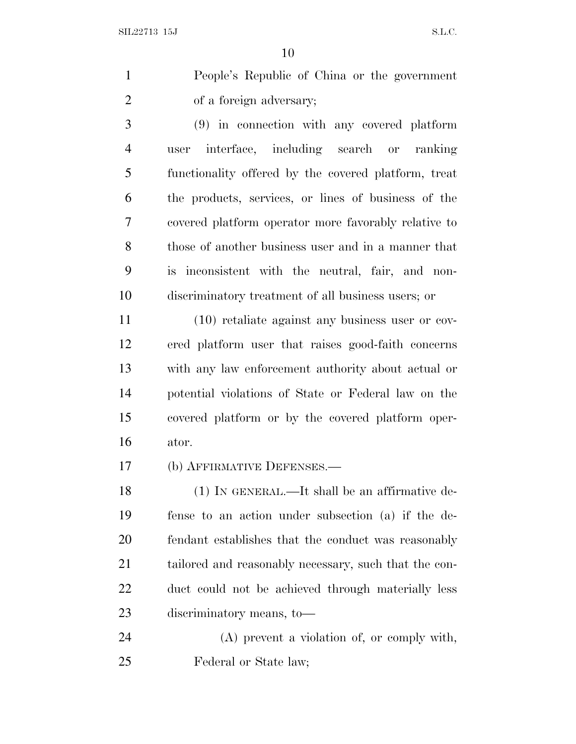People's Republic of China or the government of a foreign adversary;

 (9) in connection with any covered platform user interface, including search or ranking functionality offered by the covered platform, treat the products, services, or lines of business of the covered platform operator more favorably relative to those of another business user and in a manner that is inconsistent with the neutral, fair, and non-discriminatory treatment of all business users; or

 (10) retaliate against any business user or cov- ered platform user that raises good-faith concerns with any law enforcement authority about actual or potential violations of State or Federal law on the covered platform or by the covered platform oper-ator.

(b) AFFIRMATIVE DEFENSES.—

 (1) IN GENERAL.—It shall be an affirmative de- fense to an action under subsection (a) if the de- fendant establishes that the conduct was reasonably 21 tailored and reasonably necessary, such that the con- duct could not be achieved through materially less discriminatory means, to—

 (A) prevent a violation of, or comply with, Federal or State law;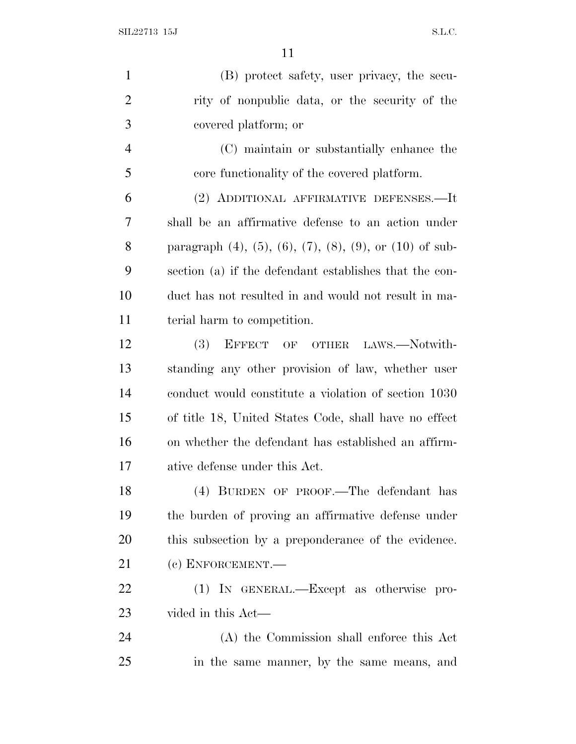SIL22713 15J S.L.C.

| $\mathbf{1}$   | (B) protect safety, user privacy, the secu-                                 |
|----------------|-----------------------------------------------------------------------------|
| $\overline{2}$ | rity of nonpublic data, or the security of the                              |
| 3              | covered platform; or                                                        |
| $\overline{4}$ | (C) maintain or substantially enhance the                                   |
| 5              | core functionality of the covered platform.                                 |
| 6              | (2) ADDITIONAL AFFIRMATIVE DEFENSES.—It                                     |
| 7              | shall be an affirmative defense to an action under                          |
| 8              | paragraph $(4)$ , $(5)$ , $(6)$ , $(7)$ , $(8)$ , $(9)$ , or $(10)$ of sub- |
| 9              | section (a) if the defendant establishes that the con-                      |
| 10             | duct has not resulted in and would not result in ma-                        |
| 11             | terial harm to competition.                                                 |
| 12             | (3) EFFECT OF OTHER LAWS.—Notwith-                                          |
| 13             | standing any other provision of law, whether user                           |
| 14             | conduct would constitute a violation of section 1030                        |
| 15             | of title 18, United States Code, shall have no effect                       |
| 16             | on whether the defendant has established an affirm-                         |
| 17             | ative defense under this Act.                                               |
| 18             | (4) BURDEN OF PROOF.—The defendant has                                      |
| 19             | the burden of proving an affirmative defense under                          |
| 20             | this subsection by a preponderance of the evidence.                         |
| 21             | (c) ENFORCEMENT.-                                                           |
| 22             | (1) IN GENERAL.—Except as otherwise pro-                                    |
| 23             | vided in this Act—                                                          |
| 24             | (A) the Commission shall enforce this Act                                   |
| 25             | in the same manner, by the same means, and                                  |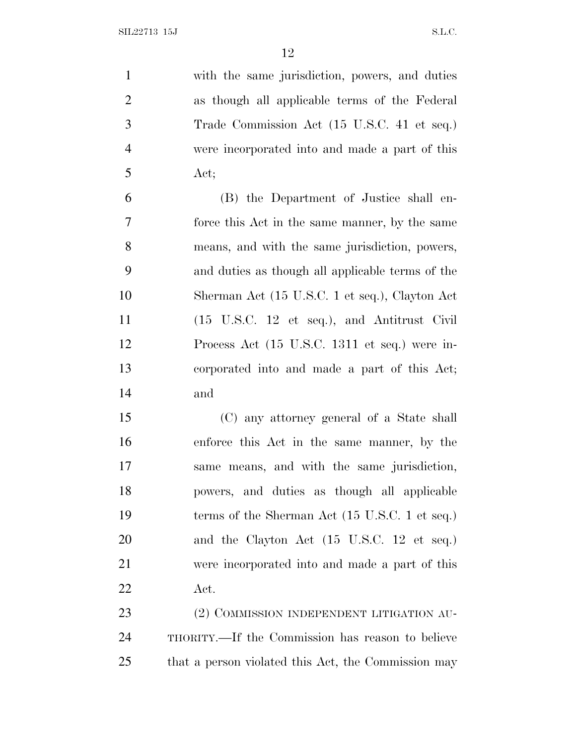with the same jurisdiction, powers, and duties as though all applicable terms of the Federal Trade Commission Act (15 U.S.C. 41 et seq.) were incorporated into and made a part of this Act; (B) the Department of Justice shall en- force this Act in the same manner, by the same means, and with the same jurisdiction, powers, and duties as though all applicable terms of the Sherman Act (15 U.S.C. 1 et seq.), Clayton Act (15 U.S.C. 12 et seq.), and Antitrust Civil Process Act (15 U.S.C. 1311 et seq.) were in- corporated into and made a part of this Act; and (C) any attorney general of a State shall enforce this Act in the same manner, by the same means, and with the same jurisdiction, powers, and duties as though all applicable 19 terms of the Sherman Act (15 U.S.C. 1 et seq.) 20 and the Clayton Act (15 U.S.C. 12 et seq.) were incorporated into and made a part of this Act. 23 (2) COMMISSION INDEPENDENT LITIGATION AU- THORITY.—If the Commission has reason to believe that a person violated this Act, the Commission may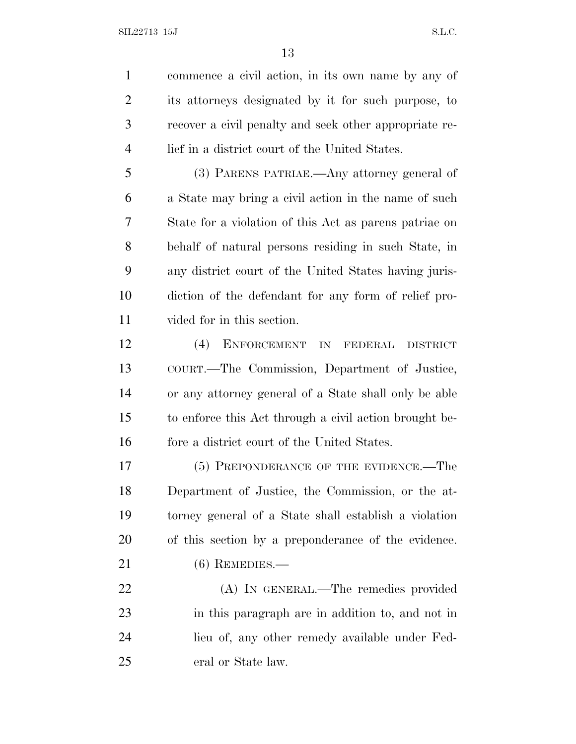commence a civil action, in its own name by any of its attorneys designated by it for such purpose, to recover a civil penalty and seek other appropriate re-lief in a district court of the United States.

 (3) PARENS PATRIAE.—Any attorney general of a State may bring a civil action in the name of such State for a violation of this Act as parens patriae on behalf of natural persons residing in such State, in any district court of the United States having juris- diction of the defendant for any form of relief pro-vided for in this section.

 (4) ENFORCEMENT IN FEDERAL DISTRICT COURT.—The Commission, Department of Justice, or any attorney general of a State shall only be able to enforce this Act through a civil action brought be-fore a district court of the United States.

17 (5) PREPONDERANCE OF THE EVIDENCE.—The Department of Justice, the Commission, or the at- torney general of a State shall establish a violation of this section by a preponderance of the evidence. (6) REMEDIES.—

 (A) IN GENERAL.—The remedies provided in this paragraph are in addition to, and not in lieu of, any other remedy available under Fed-eral or State law.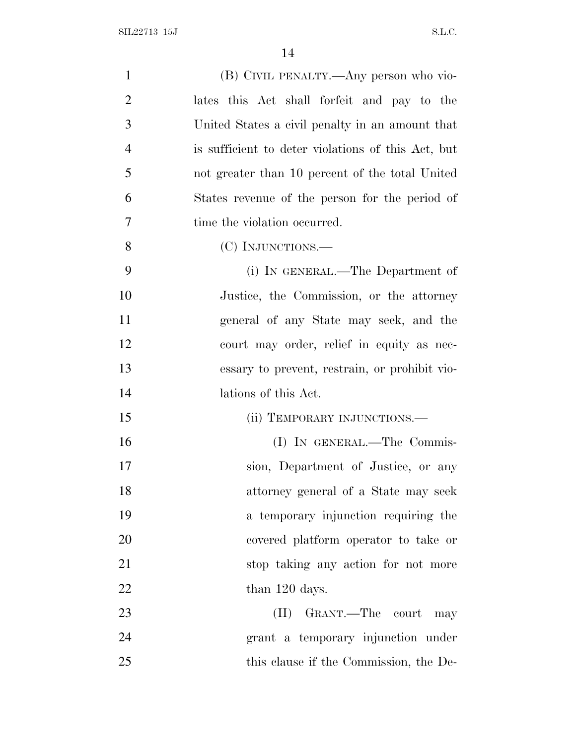| $\mathbf{1}$   | (B) CIVIL PENALTY.—Any person who vio-             |
|----------------|----------------------------------------------------|
| $\overline{2}$ | lates this Act shall forfeit and pay to the        |
| 3              | United States a civil penalty in an amount that    |
| $\overline{4}$ | is sufficient to deter violations of this Act, but |
| 5              | not greater than 10 percent of the total United    |
| 6              | States revenue of the person for the period of     |
| 7              | time the violation occurred.                       |
| 8              | (C) INJUNCTIONS.—                                  |
| 9              | (i) IN GENERAL.—The Department of                  |
| 10             | Justice, the Commission, or the attorney           |
| 11             | general of any State may seek, and the             |
| 12             | court may order, relief in equity as nec-          |
| 13             | essary to prevent, restrain, or prohibit vio-      |
| 14             | lations of this Act.                               |
| 15             | (ii) TEMPORARY INJUNCTIONS.—                       |
| 16             | (I) IN GENERAL.—The Commis-                        |
| 17             | sion, Department of Justice, or any                |
| 18             | attorney general of a State may seek               |
| 19             | a temporary injunction requiring the               |
| 20             | covered platform operator to take or               |
| 21             | stop taking any action for not more                |
| 22             | than 120 days.                                     |
| 23             | (II) GRANT.—The court may                          |
| 24             | grant a temporary injunction under                 |
| 25             | this clause if the Commission, the De-             |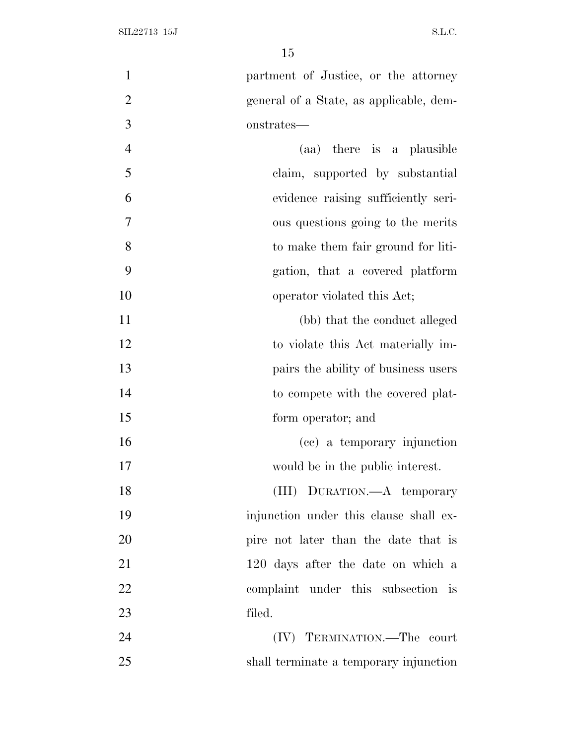| $\mathbf{1}$   | partment of Justice, or the attorney    |
|----------------|-----------------------------------------|
| $\overline{2}$ | general of a State, as applicable, dem- |
| 3              | onstrates—                              |
| $\overline{4}$ | (aa) there is a plausible               |
| 5              | claim, supported by substantial         |
| 6              | evidence raising sufficiently seri-     |
| $\tau$         | ous questions going to the merits       |
| 8              | to make them fair ground for liti-      |
| 9              | gation, that a covered platform         |
| 10             | operator violated this Act;             |
| 11             | (bb) that the conduct alleged           |
| 12             | to violate this Act materially im-      |
| 13             | pairs the ability of business users     |
| 14             | to compete with the covered plat-       |
| 15             | form operator; and                      |
| 16             | (cc) a temporary injunction             |
| 17             | would be in the public interest.        |
| 18             | (III) DURATION. A temporary             |
| 19             | injunction under this clause shall ex-  |
| 20             | pire not later than the date that is    |
| 21             | 120 days after the date on which a      |
| 22             | complaint under this subsection is      |
| 23             | filed.                                  |
| 24             | (IV) TERMINATION.—The court             |
| 25             | shall terminate a temporary injunction  |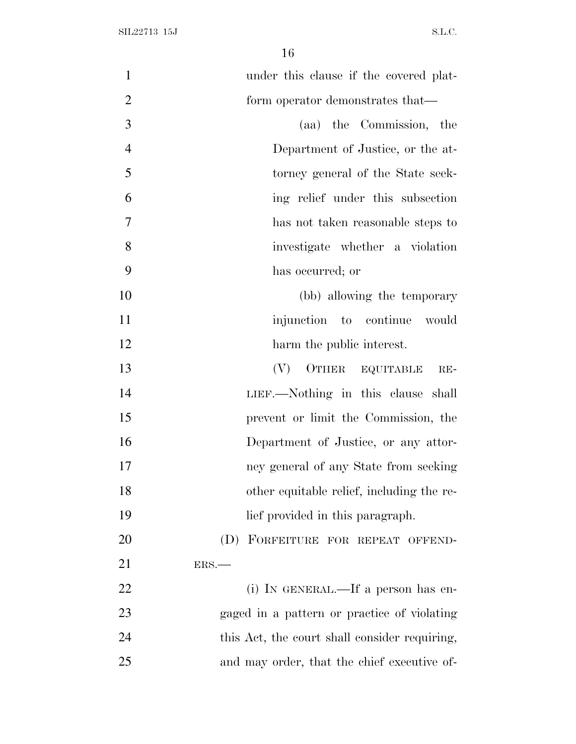| $\mathbf{1}$   | under this clause if the covered plat-        |
|----------------|-----------------------------------------------|
| $\overline{2}$ | form operator demonstrates that—              |
| 3              | (aa) the Commission, the                      |
| $\overline{4}$ | Department of Justice, or the at-             |
| 5              | torney general of the State seek-             |
| 6              | ing relief under this subsection              |
| 7              | has not taken reasonable steps to             |
| 8              | investigate whether a violation               |
| 9              | has occurred; or                              |
| 10             | (bb) allowing the temporary                   |
| 11             | injunction to continue would                  |
| 12             | harm the public interest.                     |
| 13             | (V)<br>OTHER EQUITABLE<br>$RE-$               |
| 14             | LIEF.—Nothing in this clause shall            |
| 15             | prevent or limit the Commission, the          |
| 16             | Department of Justice, or any attor-          |
| 17             | ney general of any State from seeking         |
| 18             | other equitable relief, including the re-     |
| 19             | lief provided in this paragraph.              |
| 20             | (D) FORFEITURE FOR REPEAT OFFEND-             |
| 21             | ERS.                                          |
| 22             | (i) IN GENERAL.—If a person has en-           |
| 23             | gaged in a pattern or practice of violating   |
| 24             | this Act, the court shall consider requiring, |
| 25             | and may order, that the chief executive of-   |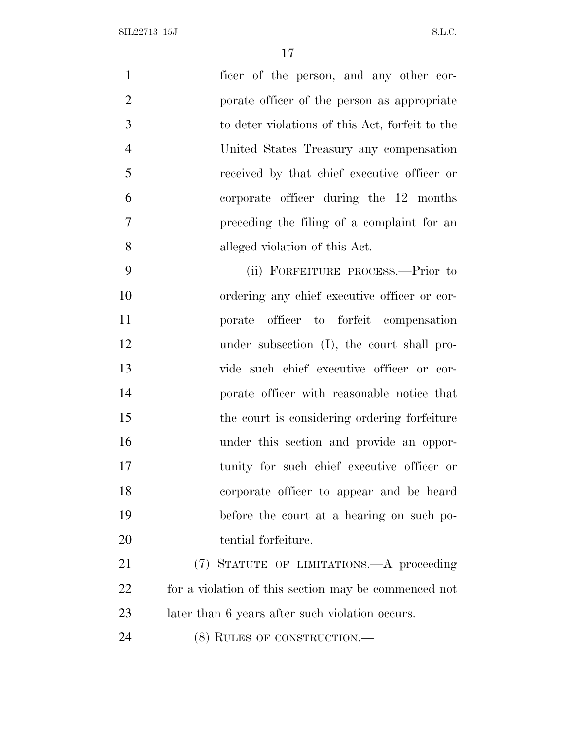| $\overline{1}$ | ficer of the person, and any other cor-                           |
|----------------|-------------------------------------------------------------------|
| 2              | porate officer of the person as appropriate                       |
| 3              | to deter violations of this Act, forfeit to the                   |
| $\overline{4}$ | United States Treasury any compensation                           |
| 5              | received by that chief executive officer or                       |
| 6              | corporate officer during the 12 months                            |
| $\overline{7}$ | preceding the filing of a complaint for an                        |
| 8              | alleged violation of this Act.                                    |
| $\Omega$       | $\lim_{n \to \infty}$ Department program $\lim_{n \to \infty}$ to |

 (ii) FORFEITURE PROCESS.—Prior to ordering any chief executive officer or cor- porate officer to forfeit compensation under subsection (I), the court shall pro- vide such chief executive officer or cor- porate officer with reasonable notice that the court is considering ordering forfeiture under this section and provide an oppor- tunity for such chief executive officer or corporate officer to appear and be heard before the court at a hearing on such po-tential forfeiture.

 (7) STATUTE OF LIMITATIONS.—A proceeding 22 for a violation of this section may be commenced not later than 6 years after such violation occurs.

24 (8) RULES OF CONSTRUCTION.—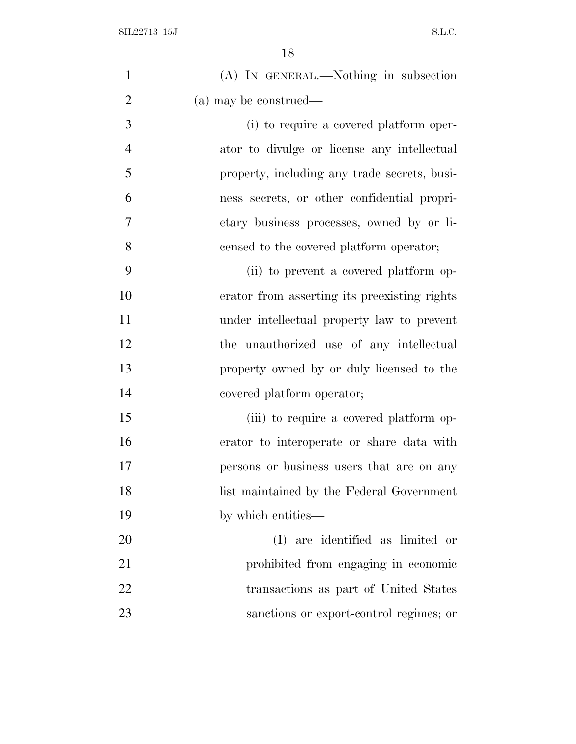| $\mathbf{1}$   | (A) IN GENERAL.—Nothing in subsection        |
|----------------|----------------------------------------------|
| $\overline{2}$ | (a) may be construed—                        |
| 3              | (i) to require a covered platform oper-      |
| $\overline{4}$ | ator to divulge or license any intellectual  |
| 5              | property, including any trade secrets, busi- |
| 6              | ness secrets, or other confidential propri-  |
| $\tau$         | etary business processes, owned by or li-    |
| 8              | censed to the covered platform operator;     |
| 9              | (ii) to prevent a covered platform op-       |
| 10             | erator from asserting its preexisting rights |
| 11             | under intellectual property law to prevent   |
| 12             | the unauthorized use of any intellectual     |
| 13             | property owned by or duly licensed to the    |
| 14             | covered platform operator;                   |
| 15             | (iii) to require a covered platform op-      |
| 16             | erator to interoperate or share data with    |
| 17             | persons or business users that are on any    |
| 18             | list maintained by the Federal Government    |
| 19             | by which entities—                           |
| 20             | (I) are identified as limited or             |
| 21             | prohibited from engaging in economic         |
| 22             | transactions as part of United States        |
| 23             | sanctions or export-control regimes; or      |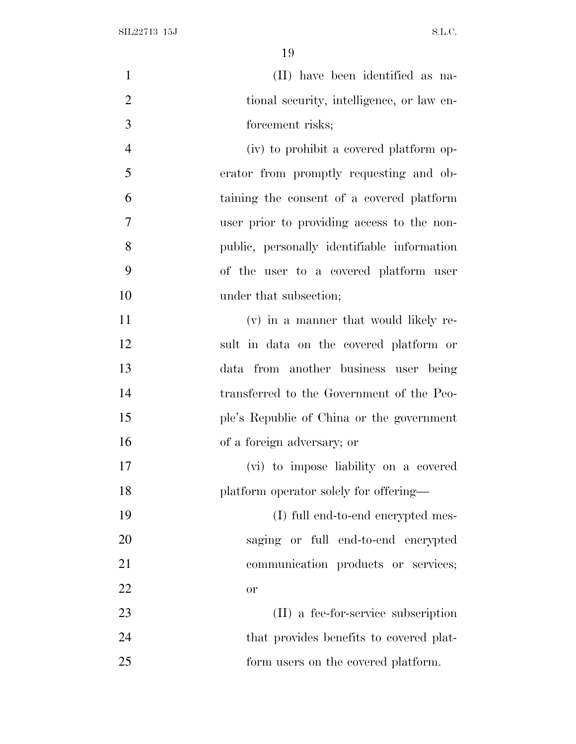| $\mathbf{1}$   | (II) have been identified as na-            |
|----------------|---------------------------------------------|
| $\overline{2}$ | tional security, intelligence, or law en-   |
| 3              | forcement risks;                            |
| $\overline{4}$ | (iv) to prohibit a covered platform op-     |
| 5              | erator from promptly requesting and ob-     |
| 6              | taining the consent of a covered platform   |
| 7              | user prior to providing access to the non-  |
| 8              | public, personally identifiable information |
| 9              | of the user to a covered platform user      |
| 10             | under that subsection;                      |
| 11             | (v) in a manner that would likely re-       |
| 12             | sult in data on the covered platform or     |
| 13             | data from another business user being       |
| 14             | transferred to the Government of the Peo-   |
| 15             | ple's Republic of China or the government   |
| 16             | of a foreign adversary; or                  |
| 17             | (vi) to impose liability on a covered       |
| 18             | platform operator solely for offering—      |
| 19             | (I) full end-to-end encrypted mes-          |
| 20             | saging or full end-to-end encrypted         |
| 21             | communication products or services;         |
| 22             | or                                          |
| 23             | (II) a fee-for-service subscription         |
| 24             | that provides benefits to covered plat-     |
| 25             | form users on the covered platform.         |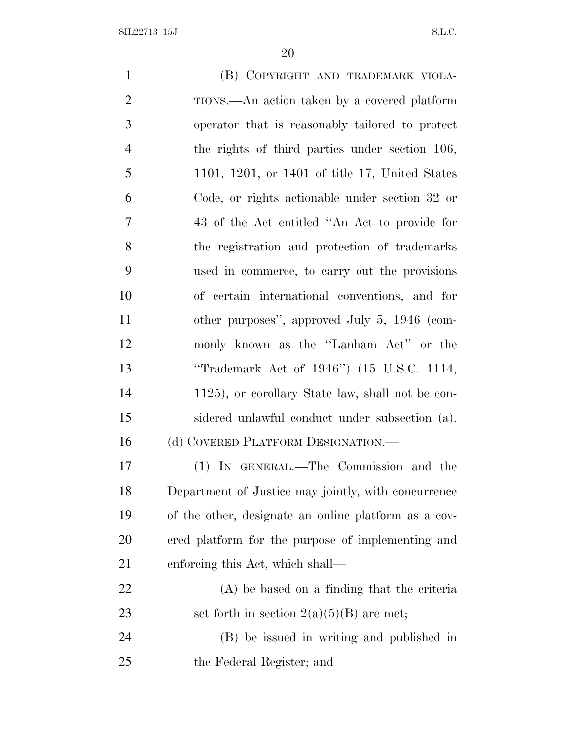$SLL22713$  15J S.L.C.

 (B) COPYRIGHT AND TRADEMARK VIOLA- TIONS.—An action taken by a covered platform operator that is reasonably tailored to protect the rights of third parties under section 106, 1101, 1201, or 1401 of title 17, United States Code, or rights actionable under section 32 or 43 of the Act entitled ''An Act to provide for the registration and protection of trademarks used in commerce, to carry out the provisions of certain international conventions, and for other purposes'', approved July 5, 1946 (com- monly known as the ''Lanham Act'' or the ''Trademark Act of 1946'') (15 U.S.C. 1114, 1125), or corollary State law, shall not be con- sidered unlawful conduct under subsection (a). 16 (d) COVERED PLATFORM DESIGNATION.— (1) IN GENERAL.—The Commission and the Department of Justice may jointly, with concurrence of the other, designate an online platform as a cov- ered platform for the purpose of implementing and enforcing this Act, which shall— (A) be based on a finding that the criteria 23 set forth in section  $2(a)(5)(B)$  are met; (B) be issued in writing and published in the Federal Register; and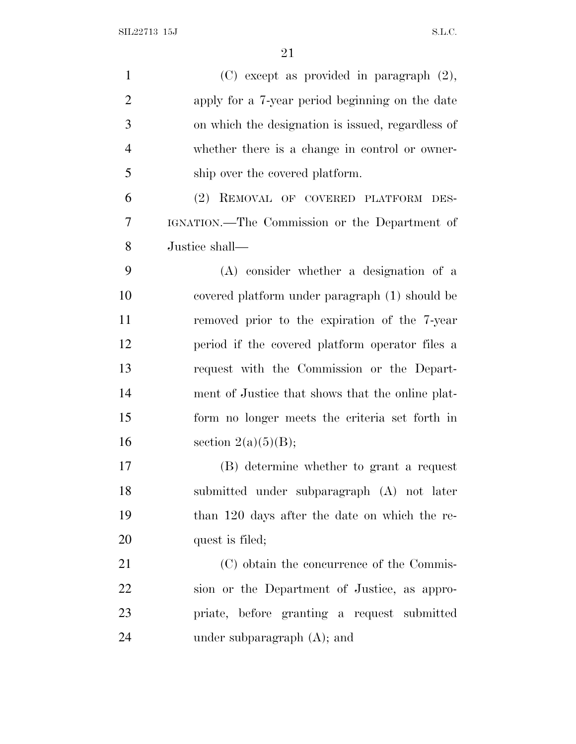| $\mathbf{1}$   | $(C)$ except as provided in paragraph $(2)$ ,     |
|----------------|---------------------------------------------------|
| $\overline{2}$ | apply for a 7-year period beginning on the date   |
| 3              | on which the designation is issued, regardless of |
| $\overline{4}$ | whether there is a change in control or owner-    |
| 5              | ship over the covered platform.                   |
| 6              | (2) REMOVAL OF COVERED PLATFORM DES-              |
| 7              | IGNATION.—The Commission or the Department of     |
| 8              | Justice shall-                                    |
| 9              | (A) consider whether a designation of a           |
| 10             | covered platform under paragraph (1) should be    |
| 11             | removed prior to the expiration of the 7-year     |
| 12             | period if the covered platform operator files a   |
| 13             | request with the Commission or the Depart-        |
| 14             | ment of Justice that shows that the online plat-  |
| 15             | form no longer meets the criteria set forth in    |
| 16             | section $2(a)(5)(B);$                             |
| 17             | (B) determine whether to grant a request          |
| 18             | submitted under subparagraph (A) not later        |
| 19             | than 120 days after the date on which the re-     |
| 20             | quest is filed;                                   |
| 21             | (C) obtain the concurrence of the Commis-         |
| 22             | sion or the Department of Justice, as appro-      |
| 23             | priate, before granting a request submitted       |
| 24             | under subparagraph $(A)$ ; and                    |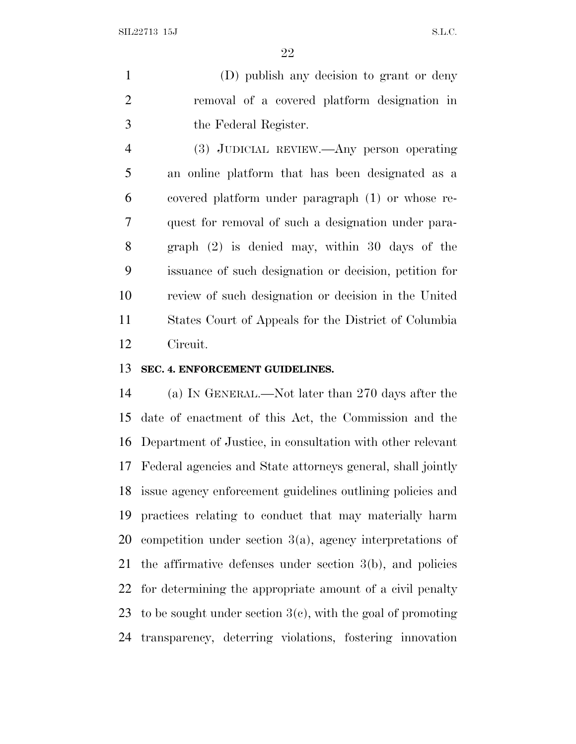(D) publish any decision to grant or deny removal of a covered platform designation in the Federal Register.

 (3) JUDICIAL REVIEW.—Any person operating an online platform that has been designated as a covered platform under paragraph (1) or whose re- quest for removal of such a designation under para- graph (2) is denied may, within 30 days of the issuance of such designation or decision, petition for review of such designation or decision in the United States Court of Appeals for the District of Columbia Circuit.

### **SEC. 4. ENFORCEMENT GUIDELINES.**

 (a) I<sup>N</sup> GENERAL.—Not later than 270 days after the date of enactment of this Act, the Commission and the Department of Justice, in consultation with other relevant Federal agencies and State attorneys general, shall jointly issue agency enforcement guidelines outlining policies and practices relating to conduct that may materially harm competition under section 3(a), agency interpretations of the affirmative defenses under section 3(b), and policies for determining the appropriate amount of a civil penalty 23 to be sought under section  $3(e)$ , with the goal of promoting transparency, deterring violations, fostering innovation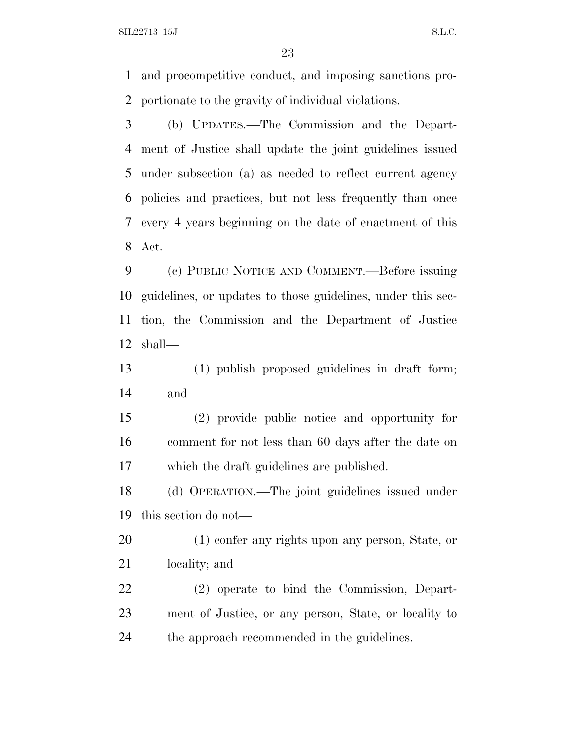$SLL22713$  15J S.L.C.

 and procompetitive conduct, and imposing sanctions pro-portionate to the gravity of individual violations.

 (b) UPDATES.—The Commission and the Depart- ment of Justice shall update the joint guidelines issued under subsection (a) as needed to reflect current agency policies and practices, but not less frequently than once every 4 years beginning on the date of enactment of this Act.

 (c) PUBLIC NOTICE AND COMMENT.—Before issuing guidelines, or updates to those guidelines, under this sec- tion, the Commission and the Department of Justice shall—

 (1) publish proposed guidelines in draft form; and

 (2) provide public notice and opportunity for comment for not less than 60 days after the date on which the draft guidelines are published.

 (d) OPERATION.—The joint guidelines issued under this section do not—

 (1) confer any rights upon any person, State, or locality; and

 (2) operate to bind the Commission, Depart- ment of Justice, or any person, State, or locality to the approach recommended in the guidelines.